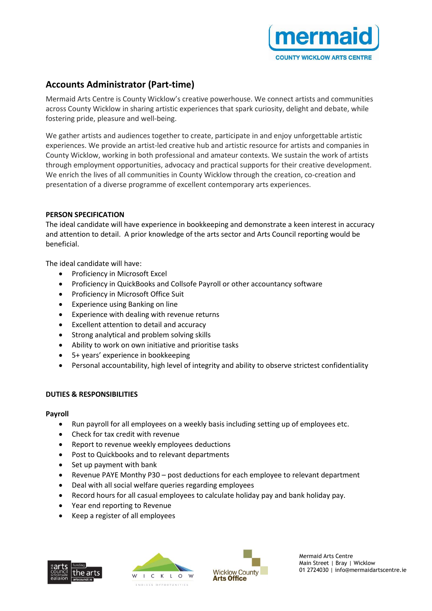

# **Accounts Administrator (Part-time)**

Mermaid Arts Centre is County Wicklow's creative powerhouse. We connect artists and communities across County Wicklow in sharing artistic experiences that spark curiosity, delight and debate, while fostering pride, pleasure and well-being.

We gather artists and audiences together to create, participate in and enjoy unforgettable artistic experiences. We provide an artist-led creative hub and artistic resource for artists and companies in County Wicklow, working in both professional and amateur contexts. We sustain the work of artists through employment opportunities, advocacy and practical supports for their creative development. We enrich the lives of all communities in County Wicklow through the creation, co-creation and presentation of a diverse programme of excellent contemporary arts experiences.

## **PERSON SPECIFICATION**

The ideal candidate will have experience in bookkeeping and demonstrate a keen interest in accuracy and attention to detail. A prior knowledge of the arts sector and Arts Council reporting would be beneficial.

The ideal candidate will have:

- Proficiency in Microsoft Excel
- Proficiency in QuickBooks and Collsofe Payroll or other accountancy software
- Proficiency in Microsoft Office Suit
- Experience using Banking on line
- Experience with dealing with revenue returns
- Excellent attention to detail and accuracy
- Strong analytical and problem solving skills
- Ability to work on own initiative and prioritise tasks
- 5+ years' experience in bookkeeping
- Personal accountability, high level of integrity and ability to observe strictest confidentiality

## **DUTIES & RESPONSIBILITIES**

#### **Payroll**

- Run payroll for all employees on a weekly basis including setting up of employees etc.
- Check for tax credit with revenue
- Report to revenue weekly employees deductions
- Post to Quickbooks and to relevant departments
- Set up payment with bank
- Revenue PAYE Monthy P30 post deductions for each employee to relevant department
- Deal with all social welfare queries regarding employees
- Record hours for all casual employees to calculate holiday pay and bank holiday pay.
- Year end reporting to Revenue
- Keep a register of all employees







Mermaid Arts Centre Main Street | Bray | Wicklow 01 2724030 | info@mermaidartscentre.ie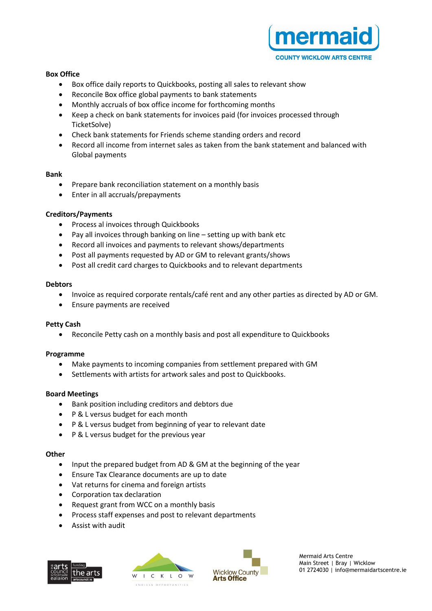

## **Box Office**

- Box office daily reports to Quickbooks, posting all sales to relevant show
- Reconcile Box office global payments to bank statements
- Monthly accruals of box office income for forthcoming months
- Keep a check on bank statements for invoices paid (for invoices processed through TicketSolve)
- Check bank statements for Friends scheme standing orders and record
- Record all income from internet sales as taken from the bank statement and balanced with Global payments

#### **Bank**

- Prepare bank reconciliation statement on a monthly basis
- Enter in all accruals/prepayments

## **Creditors/Payments**

- Process al invoices through Quickbooks
- Pay all invoices through banking on line setting up with bank etc
- Record all invoices and payments to relevant shows/departments
- Post all payments requested by AD or GM to relevant grants/shows
- Post all credit card charges to Quickbooks and to relevant departments

#### **Debtors**

- Invoice as required corporate rentals/café rent and any other parties as directed by AD or GM.
- Ensure payments are received

## **Petty Cash**

• Reconcile Petty cash on a monthly basis and post all expenditure to Quickbooks

## **Programme**

- Make payments to incoming companies from settlement prepared with GM
- Settlements with artists for artwork sales and post to Quickbooks.

## **Board Meetings**

- Bank position including creditors and debtors due
- P & L versus budget for each month
- P & L versus budget from beginning of year to relevant date
- P & L versus budget for the previous year

## **Other**

- Input the prepared budget from AD & GM at the beginning of the year
- Ensure Tax Clearance documents are up to date
- Vat returns for cinema and foreign artists
- Corporation tax declaration
- Request grant from WCC on a monthly basis
- Process staff expenses and post to relevant departments
- Assist with audit







Mermaid Arts Centre Main Street | Bray | Wicklow 01 2724030 | info@mermaidartscentre.ie